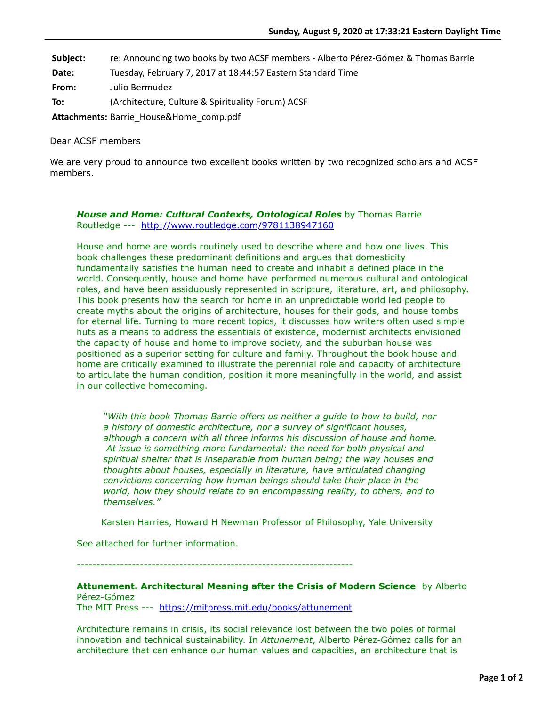**Subject:** re: Announcing two books by two ACSF members - Alberto Pérez-Gómez & Thomas Barrie

**Date:** Tuesday, February 7, 2017 at 18:44:57 Eastern Standard Time

**From:** Julio Bermudez

**To:** (Architecture, Culture & Spirituality Forum) ACSF

Attachments: Barrie\_House&Home\_comp.pdf

Dear ACSF members

We are very proud to announce two excellent books written by two recognized scholars and ACSF members.

## *House and Home: Cultural Contexts, Ontological Roles* by Thomas Barrie Routledge --- <http://www.routledge.com/9781138947160>

House and home are words routinely used to describe where and how one lives. This book challenges these predominant definitions and argues that domesticity fundamentally satisfies the human need to create and inhabit a defined place in the world. Consequently, house and home have performed numerous cultural and ontological roles, and have been assiduously represented in scripture, literature, art, and philosophy. This book presents how the search for home in an unpredictable world led people to create myths about the origins of architecture, houses for their gods, and house tombs for eternal life. Turning to more recent topics, it discusses how writers often used simple huts as a means to address the essentials of existence, modernist architects envisioned the capacity of house and home to improve society, and the suburban house was positioned as a superior setting for culture and family. Throughout the book house and home are critically examined to illustrate the perennial role and capacity of architecture to articulate the human condition, position it more meaningfully in the world, and assist in our collective homecoming.

*"With this book Thomas Barrie offers us neither a guide to how to build, nor a history of domestic architecture, nor a survey of significant houses, although a concern with all three informs his discussion of house and home. At issue is something more fundamental: the need for both physical and spiritual shelter that is inseparable from human being; the way houses and thoughts about houses, especially in literature, have articulated changing convictions concerning how human beings should take their place in the world, how they should relate to an encompassing reality, to others, and to themselves."*

Karsten Harries, Howard H Newman Professor of Philosophy, Yale University

See attached for further information.

----------------------------------------------------------------------

**Attunement. Architectural Meaning after the Crisis of Modern Science** by Alberto Pérez-Gómez

The MIT Press --- <https://mitpress.mit.edu/books/attunement>

Architecture remains in crisis, its social relevance lost between the two poles of formal innovation and technical sustainability. In *Attunement*, Alberto Pérez-Gómez calls for an architecture that can enhance our human values and capacities, an architecture that is